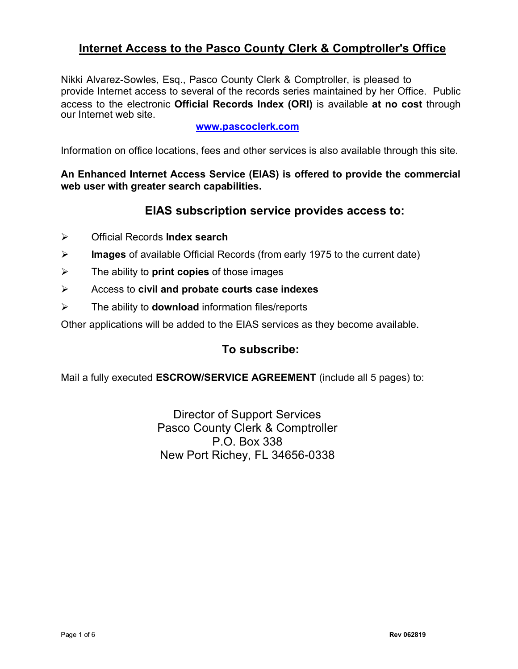# **Internet Access to the Pasco County Clerk & Comptroller's Office**

Nikki Alvarez-Sowles, Esq., Pasco County Clerk & Comptroller, is pleased to provide Internet access to several of the records series maintained by her Office. Public access to the electronic **Official Records Index (ORI)** is available **at no cost** through our Internet web site.

### **[www.pascoclerk.com](http://www.pascoclerk.com/)**

Information on office locations, fees and other services is also available through this site.

**An Enhanced Internet Access Service (EIAS) is offered to provide the commercial web user with greater search capabilities.**

## **EIAS subscription service provides access to:**

- ÿ Official Records **Index search**
- ÿ **Images** of available Official Records (from early 1975 to the current date)
- ÿ The ability to **print copies** of those images
- ÿ Access to **civil and probate courts case indexes**
- ÿ The ability to **download** information files/reports

Other applications will be added to the EIAS services as they become available.

## **To subscribe:**

Mail a fully executed **ESCROW/SERVICE AGREEMENT** (include all 5 pages) to:

Director of Support Services Pasco County Clerk & Comptroller P.O. Box 338 New Port Richey, FL 34656-0338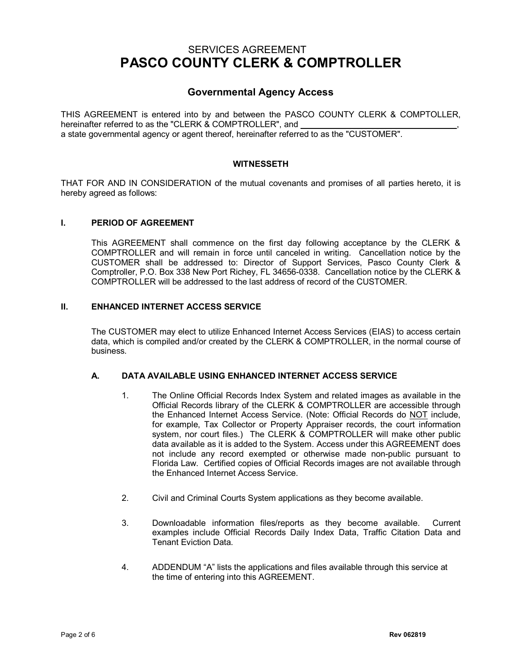## SERVICES AGREEMENT **PASCO COUNTY CLERK & COMPTROLLER**

## **Governmental Agency Access**

THIS AGREEMENT is entered into by and between the PASCO COUNTY CLERK & COMPTOLLER, hereinafter referred to as the "CLERK & COMPTROLLER", and a state governmental agency or agent thereof, hereinafter referred to as the "CUSTOMER".

#### **WITNESSETH**

THAT FOR AND IN CONSIDERATION of the mutual covenants and promises of all parties hereto, it is hereby agreed as follows:

#### **I. PERIOD OF AGREEMENT**

This AGREEMENT shall commence on the first day following acceptance by the CLERK & COMPTROLLER and will remain in force until canceled in writing. Cancellation notice by the CUSTOMER shall be addressed to: Director of Support Services, Pasco County Clerk & Comptroller, P.O. Box 338 New Port Richey, FL 34656-0338. Cancellation notice by the CLERK & COMPTROLLER will be addressed to the last address of record of the CUSTOMER.

### **II. ENHANCED INTERNET ACCESS SERVICE**

The CUSTOMER may elect to utilize Enhanced Internet Access Services (EIAS) to access certain data, which is compiled and/or created by the CLERK & COMPTROLLER, in the normal course of business.

#### **A. DATA AVAILABLE USING ENHANCED INTERNET ACCESS SERVICE**

- 1. The Online Official Records Index System and related images as available in the Official Records library of the CLERK & COMPTROLLER are accessible through the Enhanced Internet Access Service. (Note: Official Records do NOT include, for example, Tax Collector or Property Appraiser records, the court information system, nor court files.) The CLERK & COMPTROLLER will make other public data available as it is added to the System. Access under this AGREEMENT does not include any record exempted or otherwise made non-public pursuant to Florida Law. Certified copies of Official Records images are not available through the Enhanced Internet Access Service.
- 2. Civil and Criminal Courts System applications as they become available.
- 3. Downloadable information files/reports as they become available. Current examples include Official Records Daily Index Data, Traffic Citation Data and Tenant Eviction Data.
- 4. ADDENDUM "A" lists the applications and files available through this service at the time of entering into this AGREEMENT.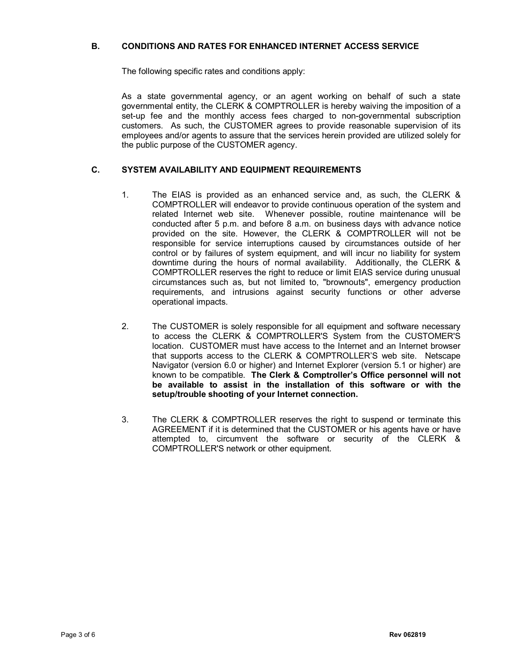#### **B. CONDITIONS AND RATES FOR ENHANCED INTERNET ACCESS SERVICE**

The following specific rates and conditions apply:

As a state governmental agency, or an agent working on behalf of such a state governmental entity, the CLERK & COMPTROLLER is hereby waiving the imposition of a set-up fee and the monthly access fees charged to non-governmental subscription customers. As such, the CUSTOMER agrees to provide reasonable supervision of its employees and/or agents to assure that the services herein provided are utilized solely for the public purpose of the CUSTOMER agency.

#### **C. SYSTEM AVAILABILITY AND EQUIPMENT REQUIREMENTS**

- 1. The EIAS is provided as an enhanced service and, as such, the CLERK & COMPTROLLER will endeavor to provide continuous operation of the system and related Internet web site. Whenever possible, routine maintenance will be conducted after 5 p.m. and before 8 a.m. on business days with advance notice provided on the site. However, the CLERK & COMPTROLLER will not be responsible for service interruptions caused by circumstances outside of her control or by failures of system equipment, and will incur no liability for system downtime during the hours of normal availability. Additionally, the CLERK & COMPTROLLER reserves the right to reduce or limit EIAS service during unusual circumstances such as, but not limited to, "brownouts", emergency production requirements, and intrusions against security functions or other adverse operational impacts.
- 2. The CUSTOMER is solely responsible for all equipment and software necessary to access the CLERK & COMPTROLLER'S System from the CUSTOMER'S location. CUSTOMER must have access to the Internet and an Internet browser that supports access to the CLERK & COMPTROLLER'S web site. Netscape Navigator (version 6.0 or higher) and Internet Explorer (version 5.1 or higher) are known to be compatible. **The Clerk & Comptroller's Office personnel will not be available to assist in the installation of this software or with the setup/trouble shooting of your Internet connection.**
- 3. The CLERK & COMPTROLLER reserves the right to suspend or terminate this AGREEMENT if it is determined that the CUSTOMER or his agents have or have attempted to, circumvent the software or security of the CLERK & COMPTROLLER'S network or other equipment.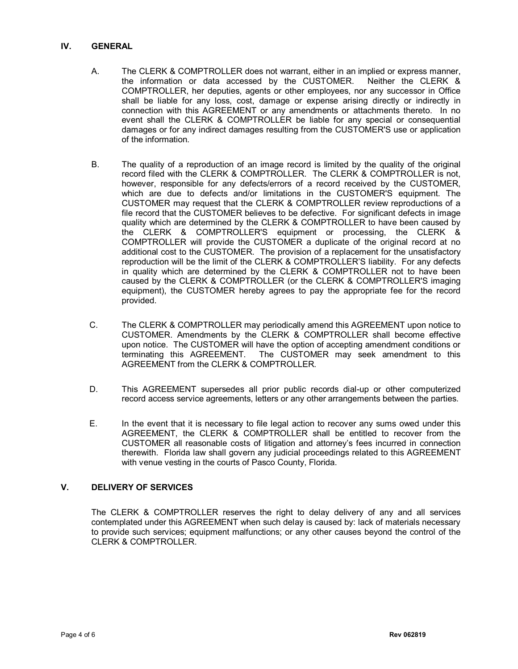#### **IV. GENERAL**

- A. The CLERK & COMPTROLLER does not warrant, either in an implied or express manner, the information or data accessed by the CUSTOMER. Neither the CLERK & COMPTROLLER, her deputies, agents or other employees, nor any successor in Office shall be liable for any loss, cost, damage or expense arising directly or indirectly in connection with this AGREEMENT or any amendments or attachments thereto. In no event shall the CLERK & COMPTROLLER be liable for any special or consequential damages or for any indirect damages resulting from the CUSTOMER'S use or application of the information.
- B. The quality of a reproduction of an image record is limited by the quality of the original record filed with the CLERK & COMPTROLLER. The CLERK & COMPTROLLER is not, however, responsible for any defects/errors of a record received by the CUSTOMER, which are due to defects and/or limitations in the CUSTOMER'S equipment. The CUSTOMER may request that the CLERK & COMPTROLLER review reproductions of a file record that the CUSTOMER believes to be defective. For significant defects in image quality which are determined by the CLERK & COMPTROLLER to have been caused by the CLERK & COMPTROLLER'S equipment or processing, the CLERK & COMPTROLLER will provide the CUSTOMER a duplicate of the original record at no additional cost to the CUSTOMER. The provision of a replacement for the unsatisfactory reproduction will be the limit of the CLERK & COMPTROLLER'S liability. For any defects in quality which are determined by the CLERK & COMPTROLLER not to have been caused by the CLERK & COMPTROLLER (or the CLERK & COMPTROLLER'S imaging equipment), the CUSTOMER hereby agrees to pay the appropriate fee for the record provided.
- C. The CLERK & COMPTROLLER may periodically amend this AGREEMENT upon notice to CUSTOMER. Amendments by the CLERK & COMPTROLLER shall become effective upon notice. The CUSTOMER will have the option of accepting amendment conditions or terminating this AGREEMENT. The CUSTOMER may seek amendment to this AGREEMENT from the CLERK & COMPTROLLER.
- D. This AGREEMENT supersedes all prior public records dial-up or other computerized record access service agreements, letters or any other arrangements between the parties.
- E. In the event that it is necessary to file legal action to recover any sums owed under this AGREEMENT, the CLERK & COMPTROLLER shall be entitled to recover from the CUSTOMER all reasonable costs of litigation and attorney's fees incurred in connection therewith. Florida law shall govern any judicial proceedings related to this AGREEMENT with venue vesting in the courts of Pasco County, Florida.

### **V. DELIVERY OF SERVICES**

The CLERK & COMPTROLLER reserves the right to delay delivery of any and all services contemplated under this AGREEMENT when such delay is caused by: lack of materials necessary to provide such services; equipment malfunctions; or any other causes beyond the control of the CLERK & COMPTROLLER.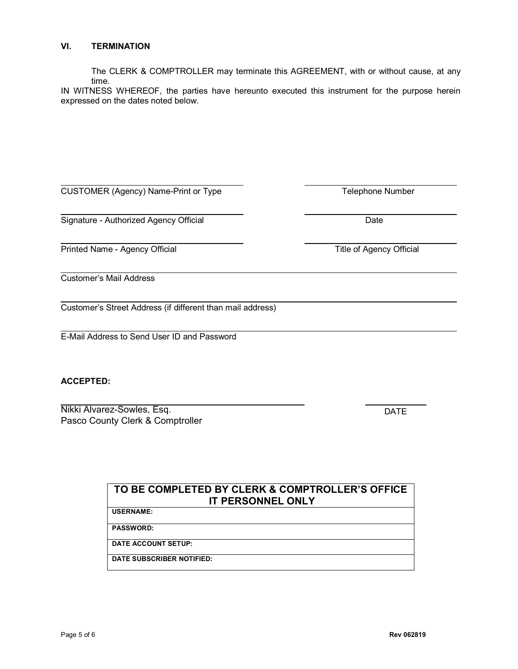#### **VI. TERMINATION**

The CLERK & COMPTROLLER may terminate this AGREEMENT, with or without cause, at any time.

IN WITNESS WHEREOF, the parties have hereunto executed this instrument for the purpose herein expressed on the dates noted below.

| CUSTOMER (Agency) Name-Print or Type |
|--------------------------------------|
|--------------------------------------|

Signature - Authorized Agency Official Date

Printed Name - Agency Official Title of Agency Official

Customer's Mail Address

Customer's Street Address (if different than mail address)

E-Mail Address to Send User ID and Password

#### **ACCEPTED:**

Nikki Alvarez-Sowles, Esq. Pasco County Clerk & Comptroller

DATE

| TO BE COMPLETED BY CLERK & COMPTROLLER'S OFFICE<br><b>IT PERSONNEL ONLY</b> |  |
|-----------------------------------------------------------------------------|--|
| <b>USERNAME:</b>                                                            |  |
| <b>PASSWORD:</b>                                                            |  |
| <b>DATE ACCOUNT SETUP:</b>                                                  |  |
| DATE SUBSCRIBER NOTIFIED:                                                   |  |

Telephone Number